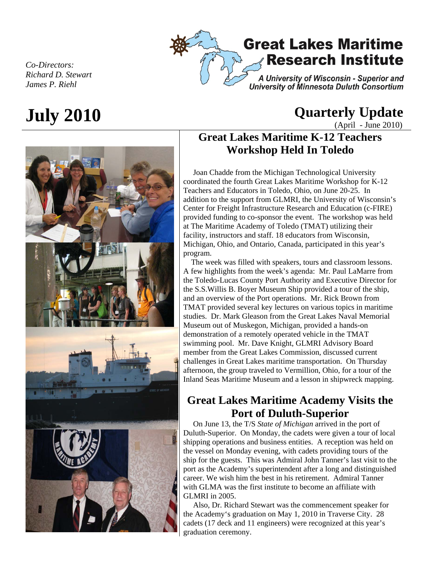

*Co-Directors: Richard D. Stewart James P. Riehl* 

# **July 2010 Quarterly Update**

(April - June 2010)

## **Great Lakes Maritime K-12 Teachers Workshop Held In Toledo**

 Joan Chadde from the Michigan Technological University coordinated the fourth Great Lakes Maritime Workshop for K-12 Teachers and Educators in Toledo, Ohio, on June 20-25. In addition to the support from GLMRI, the University of Wisconsin's Center for Freight Infrastructure Research and Education (c-FIRE) provided funding to co-sponsor the event. The workshop was held at The Maritime Academy of Toledo (TMAT) utilizing their facility, instructors and staff. 18 educators from Wisconsin, Michigan, Ohio, and Ontario, Canada, participated in this year's program.

 The week was filled with speakers, tours and classroom lessons. A few highlights from the week's agenda: Mr. Paul LaMarre from the Toledo-Lucas County Port Authority and Executive Director for the S.S.Willis B. Boyer Museum Ship provided a tour of the ship, and an overview of the Port operations. Mr. Rick Brown from TMAT provided several key lectures on various topics in maritime studies. Dr. Mark Gleason from the Great Lakes Naval Memorial Museum out of Muskegon, Michigan, provided a hands-on demonstration of a remotely operated vehicle in the TMAT swimming pool. Mr. Dave Knight, GLMRI Advisory Board member from the Great Lakes Commission, discussed current challenges in Great Lakes maritime transportation. On Thursday afternoon, the group traveled to Vermillion, Ohio, for a tour of the Inland Seas Maritime Museum and a lesson in shipwreck mapping.

### **Great Lakes Maritime Academy Visits the Port of Duluth-Superior**

 On June 13, the T/S *State of Michigan* arrived in the port of Duluth-Superior. On Monday, the cadets were given a tour of local shipping operations and business entities. A reception was held on the vessel on Monday evening, with cadets providing tours of the ship for the guests. This was Admiral John Tanner's last visit to the port as the Academy's superintendent after a long and distinguished career. We wish him the best in his retirement. Admiral Tanner with GLMA was the first institute to become an affiliate with GLMRI in 2005.

 Also, Dr. Richard Stewart was the commencement speaker for the Academy's graduation on May 1, 2010 in Traverse City. 28 cadets (17 deck and 11 engineers) were recognized at this year's graduation ceremony.